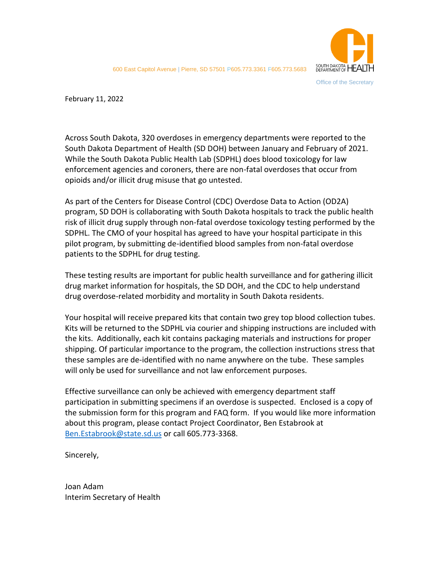

February 11, 2022

Across South Dakota, 320 overdoses in emergency departments were reported to the South Dakota Department of Health (SD DOH) between January and February of 2021. While the South Dakota Public Health Lab (SDPHL) does blood toxicology for law enforcement agencies and coroners, there are non-fatal overdoses that occur from opioids and/or illicit drug misuse that go untested.

As part of the Centers for Disease Control (CDC) Overdose Data to Action (OD2A) program, SD DOH is collaborating with South Dakota hospitals to track the public health risk of illicit drug supply through non-fatal overdose toxicology testing performed by the SDPHL. The CMO of your hospital has agreed to have your hospital participate in this pilot program, by submitting de-identified blood samples from non-fatal overdose patients to the SDPHL for drug testing.

These testing results are important for public health surveillance and for gathering illicit drug market information for hospitals, the SD DOH, and the CDC to help understand drug overdose-related morbidity and mortality in South Dakota residents.

Your hospital will receive prepared kits that contain two grey top blood collection tubes. Kits will be returned to the SDPHL via courier and shipping instructions are included with the kits. Additionally, each kit contains packaging materials and instructions for proper shipping. Of particular importance to the program, the collection instructions stress that these samples are de-identified with no name anywhere on the tube. These samples will only be used for surveillance and not law enforcement purposes.

Effective surveillance can only be achieved with emergency department staff participation in submitting specimens if an overdose is suspected. Enclosed is a copy of the submission form for this program and FAQ form. If you would like more information about this program, please contact Project Coordinator, Ben Estabrook at [Ben.Estabrook@state.sd.us](mailto:Ben.Estabrook@state.sd.us) or call 605.773-3368.

Sincerely,

Joan Adam Interim Secretary of Health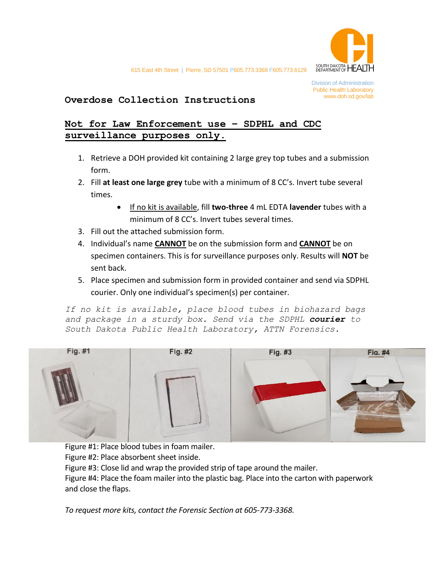

# www.doh.sd.gov/lab **Overdose Collection Instructions**

## **Not for Law Enforcement use – SDPHL and CDC surveillance purposes only.**

- 1. Retrieve a DOH provided kit containing 2 large grey top tubes and a submission form.
- 2. Fill **at least one large grey** tube with a minimum of 8 CC's. Invert tube several times.
	- If no kit is available, fill **two-three** 4 mL EDTA **lavender** tubes with a minimum of 8 CC's. Invert tubes several times.
- 3. Fill out the attached submission form.
- 4. Individual's name **CANNOT** be on the submission form and **CANNOT** be on specimen containers. This is for surveillance purposes only. Results will **NOT** be sent back.
- 5. Place specimen and submission form in provided container and send via SDPHL courier. Only one individual's specimen(s) per container.

*If no kit is available, place blood tubes in biohazard bags and package in a sturdy box. Send via the SDPHL courier to South Dakota Public Health Laboratory, ATTN Forensics.*



Figure #1: Place blood tubes in foam mailer. Figure #2: Place absorbent sheet inside. Figure #3: Close lid and wrap the provided strip of tape around the mailer. Figure #4: Place the foam mailer into the plastic bag. Place into the carton with paperwork and close the flaps.

*To request more kits, contact the Forensic Section at 605-773-3368.*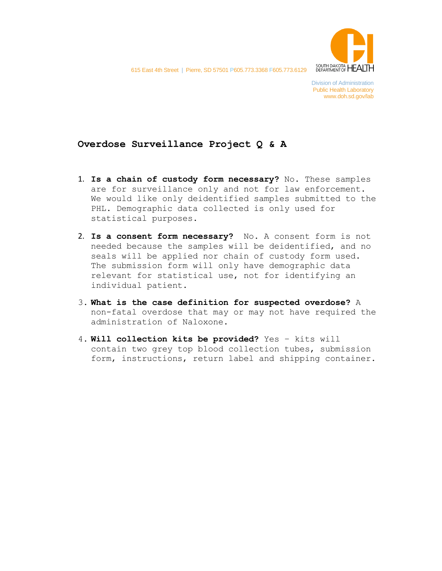

615 East 4th Street | Pierre, SD 57501 P605.773.3368 F605.773.6129

#### **Overdose Surveillance Project Q & A**

- 1. **Is a chain of custody form necessary?** No. These samples are for surveillance only and not for law enforcement. We would like only deidentified samples submitted to the PHL. Demographic data collected is only used for statistical purposes.
- 2. **Is a consent form necessary?** No. A consent form is not needed because the samples will be deidentified, and no seals will be applied nor chain of custody form used. The submission form will only have demographic data relevant for statistical use, not for identifying an individual patient.
- 3. **What is the case definition for suspected overdose?** A non-fatal overdose that may or may not have required the administration of Naloxone.
- 4. **Will collection kits be provided?** Yes kits will contain two grey top blood collection tubes, submission form, instructions, return label and shipping container.